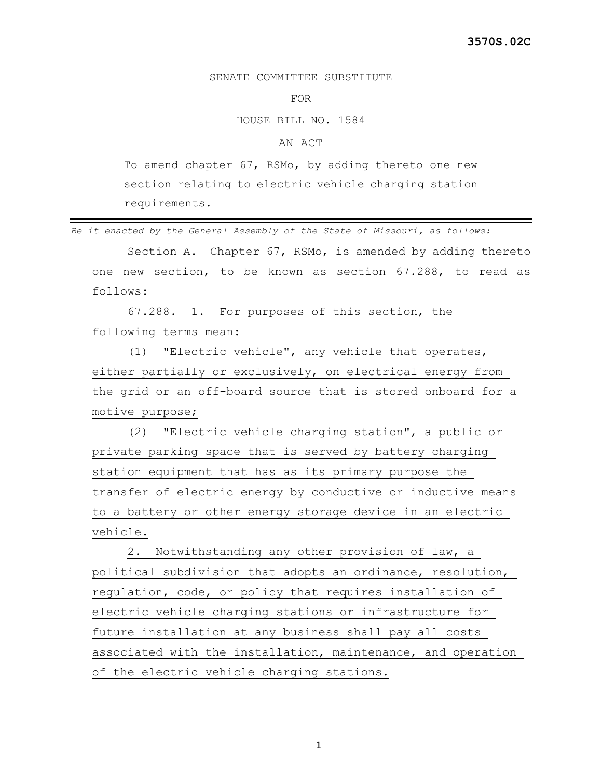## SENATE COMMITTEE SUBSTITUTE

## FOR

## HOUSE BILL NO. 1584

## AN ACT

To amend chapter 67, RSMo, by adding thereto one new section relating to electric vehicle charging station requirements.

*Be it enacted by the General Assembly of the State of Missouri, as follows:*

 Section A. Chapter 67, RSMo, is amended by adding thereto one new section, to be known as section 67.288, to read as follows:

 67.288. 1. For purposes of this section, the following terms mean:

 (1) "Electric vehicle", any vehicle that operates, either partially or exclusively, on electrical energy from the grid or an off-board source that is stored onboard for a motive purpose;

 (2) "Electric vehicle charging station", a public or private parking space that is served by battery charging station equipment that has as its primary purpose the transfer of electric energy by conductive or inductive means to a battery or other energy storage device in an electric vehicle.

 2. Notwithstanding any other provision of law, a political subdivision that adopts an ordinance, resolution, regulation, code, or policy that requires installation of electric vehicle charging stations or infrastructure for future installation at any business shall pay all costs associated with the installation, maintenance, and operation of the electric vehicle charging stations.

1